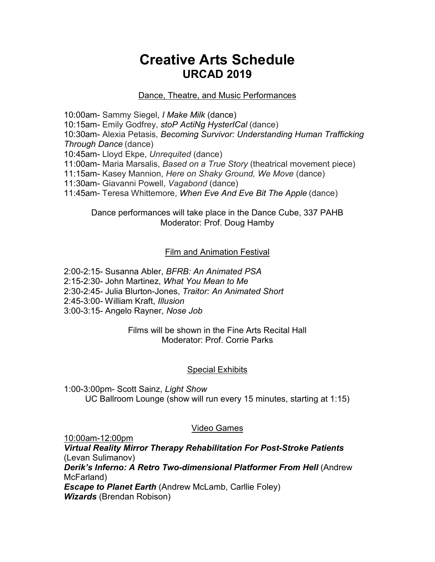# **Creative Arts Schedule URCAD 2019**

# Dance, Theatre, and Music Performances

10:00am- Sammy Siegel, *I Make Milk* (dance) 10:15am- Emily Godfrey, *stoP ActiNg HysterICal* (dance) 10:30am- Alexia Petasis, *Becoming Survivor: Understanding Human Trafficking Through Dance* (dance) 10:45am- Lloyd Ekpe, *Unrequited* (dance) 11:00am- Maria Marsalis, *Based on a True Story* (theatrical movement piece) 11:15am- Kasey Mannion, *Here on Shaky Ground, We Move* (dance) 11:30am- Giavanni Powell, *Vagabond* (dance) 11:45am- Teresa Whittemore, *When Eve And Eve Bit The Apple* (dance)

Dance performances will take place in the Dance Cube, 337 PAHB Moderator: Prof. Doug Hamby

# Film and Animation Festival

2:00-2:15- Susanna Abler, *BFRB: An Animated PSA* 2:15-2:30- John Martinez, *What You Mean to Me* 2:30-2:45- Julia Blurton-Jones, *Traitor: An Animated Short* 2:45-3:00- William Kraft, *Illusion* 3:00-3:15- Angelo Rayner, *Nose Job*

> Films will be shown in the Fine Arts Recital Hall Moderator: Prof. Corrie Parks

### Special Exhibits

1:00-3:00pm- Scott Sainz, *Light Show* UC Ballroom Lounge (show will run every 15 minutes, starting at 1:15)

### Video Games

10:00am-12:00pm *Virtual Reality Mirror Therapy Rehabilitation For Post-Stroke Patients* (Levan Sulimanov) *Derik's Inferno: A Retro Two-dimensional Platformer From Hell* (Andrew McFarland) *Escape to Planet Earth* (Andrew McLamb, Carllie Foley) *Wizards* (Brendan Robison)